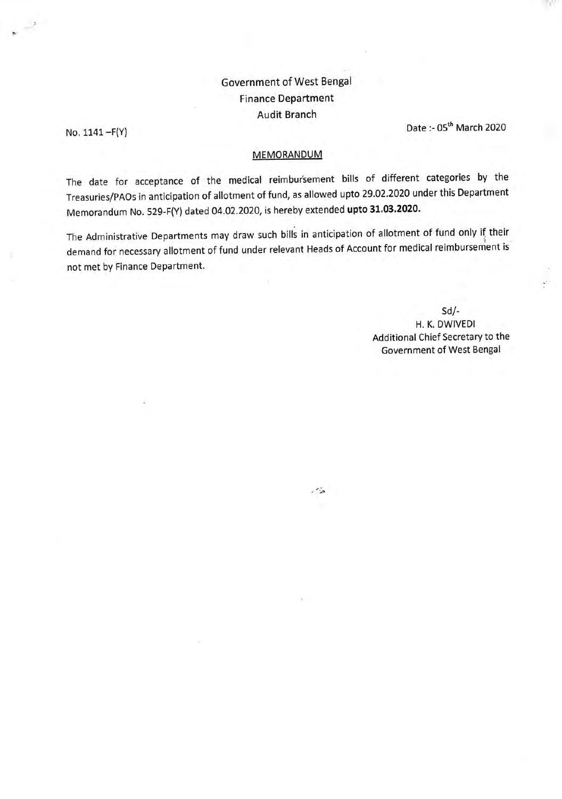## Government of West Bengal Finance Department Audit Branch

No.  $1141 - F(Y)$  Date :-  $05<sup>th</sup>$  March 2020

## **MEMORANDUM**

The date for acceptance of the medical reimbursement bills of different categories by the Treasuries/PAOs in anticipation of allotment of fund, as allowed upto 29.02.2020 under this Department Memorandum No. 529-F(Y) dated 04.02.2020, is hereby extended **upto 31.03.2020.** 

The Administrative Departments may draw such bills in anticipation of allotment of fund only if their demand for necessary allotment of fund under relevant Heads of Account for medical reimbursement is not met by Finance Department.

 $\ddot{\phantom{a}}$ 

**Sd/- H. K. DWIVEDI**  Additional Chief Secretary to the Government of West Bengal